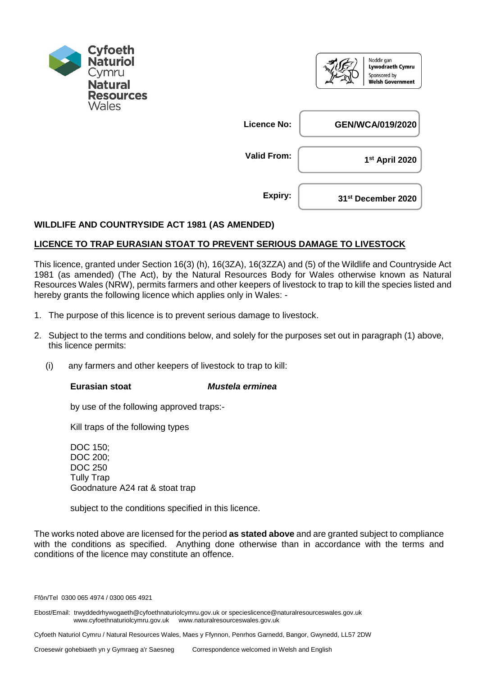

|                    | Noddir gan<br>Lywodraeth Cymru<br>Sponsored by<br><b>Welsh Government</b> |
|--------------------|---------------------------------------------------------------------------|
| <b>Licence No:</b> | <b>GEN/WCA/019/2020</b>                                                   |
| <b>Valid From:</b> | 1 <sup>st</sup> April 2020                                                |
| Expiry:            | 31 <sup>st</sup> December 2020                                            |

## **WILDLIFE AND COUNTRYSIDE ACT 1981 (AS AMENDED)**

## **LICENCE TO TRAP EURASIAN STOAT TO PREVENT SERIOUS DAMAGE TO LIVESTOCK**

This licence, granted under Section 16(3) (h), 16(3ZA), 16(3ZZA) and (5) of the Wildlife and Countryside Act 1981 (as amended) (The Act), by the Natural Resources Body for Wales otherwise known as Natural Resources Wales (NRW), permits farmers and other keepers of livestock to trap to kill the species listed and hereby grants the following licence which applies only in Wales: -

- 1. The purpose of this licence is to prevent serious damage to livestock.
- 2. Subject to the terms and conditions below, and solely for the purposes set out in paragraph (1) above, this licence permits:
	- (i) any farmers and other keepers of livestock to trap to kill:

## **Eurasian stoat** *Mustela erminea*

by use of the following approved traps:-

Kill traps of the following types

DOC 150; DOC 200; DOC 250 Tully Trap Goodnature A24 rat & stoat trap

subject to the conditions specified in this licence.

The works noted above are licensed for the period **as stated above** and are granted subject to compliance with the conditions as specified. Anything done otherwise than in accordance with the terms and conditions of the licence may constitute an offence.

Ffôn/Tel 0300 065 4974 / 0300 065 4921

Ebost/Email: trwyddedrhywogaeth@cyfoethnaturiolcymru.gov.uk or specieslicence@naturalresourceswales.gov.uk www.cyfoethnaturiolcymru.gov.uk www.naturalresourceswales.gov.uk

Cyfoeth Naturiol Cymru / Natural Resources Wales, Maes y Ffynnon, Penrhos Garnedd, Bangor, Gwynedd, LL57 2DW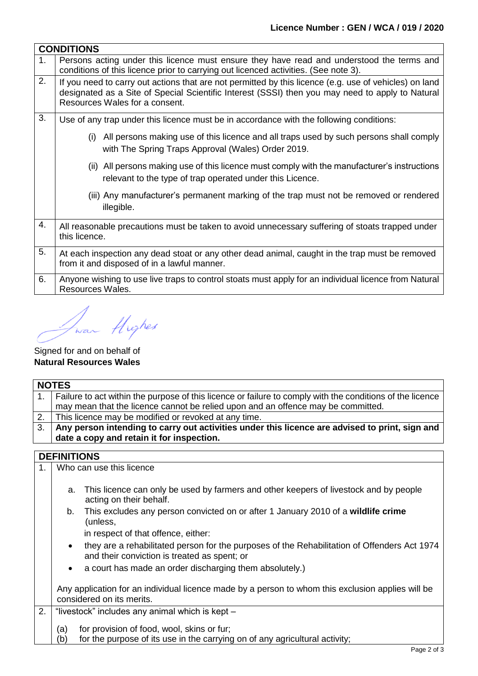|                | <b>CONDITIONS</b>                                                                                                                                                                                                                            |  |  |
|----------------|----------------------------------------------------------------------------------------------------------------------------------------------------------------------------------------------------------------------------------------------|--|--|
| 1 <sub>1</sub> | Persons acting under this licence must ensure they have read and understood the terms and<br>conditions of this licence prior to carrying out licenced activities. (See note 3).                                                             |  |  |
| 2.             | If you need to carry out actions that are not permitted by this licence (e.g. use of vehicles) on land<br>designated as a Site of Special Scientific Interest (SSSI) then you may need to apply to Natural<br>Resources Wales for a consent. |  |  |
| 3.             | Use of any trap under this licence must be in accordance with the following conditions:                                                                                                                                                      |  |  |
|                | All persons making use of this licence and all traps used by such persons shall comply<br>(i)<br>with The Spring Traps Approval (Wales) Order 2019.                                                                                          |  |  |
|                | (ii) All persons making use of this licence must comply with the manufacturer's instructions<br>relevant to the type of trap operated under this Licence.                                                                                    |  |  |
|                | (iii) Any manufacturer's permanent marking of the trap must not be removed or rendered<br>illegible.                                                                                                                                         |  |  |
| 4.             | All reasonable precautions must be taken to avoid unnecessary suffering of stoats trapped under<br>this licence.                                                                                                                             |  |  |
| 5.             | At each inspection any dead stoat or any other dead animal, caught in the trap must be removed<br>from it and disposed of in a lawful manner.                                                                                                |  |  |
| 6.             | Anyone wishing to use live traps to control stoats must apply for an individual licence from Natural<br>Resources Wales.                                                                                                                     |  |  |

war flighes

## Signed for and on behalf of **Natural Resources Wales**

| <b>NOTES</b>                                                                                         |                                                                                                           |  |  |
|------------------------------------------------------------------------------------------------------|-----------------------------------------------------------------------------------------------------------|--|--|
|                                                                                                      | Failure to act within the purpose of this licence or failure to comply with the conditions of the licence |  |  |
|                                                                                                      | may mean that the licence cannot be relied upon and an offence may be committed.                          |  |  |
|                                                                                                      | This licence may be modified or revoked at any time.                                                      |  |  |
| 3.<br>Any person intending to carry out activities under this licence are advised to print, sign and |                                                                                                           |  |  |
| date a copy and retain it for inspection.                                                            |                                                                                                           |  |  |
|                                                                                                      |                                                                                                           |  |  |
| <b>DEFINITIONS</b>                                                                                   |                                                                                                           |  |  |
|                                                                                                      | Who can use this licence                                                                                  |  |  |
|                                                                                                      |                                                                                                           |  |  |
|                                                                                                      | This licence can only be used by farmers and other keepers of livestock and by people                     |  |  |
|                                                                                                      | acting on their behalf.                                                                                   |  |  |
|                                                                                                      | b. This excludes any person convicted on or after 1 January 2010 of a wildlife crime                      |  |  |
|                                                                                                      | (unless,                                                                                                  |  |  |
|                                                                                                      | in respect of that offence, either:                                                                       |  |  |
| $\bullet$                                                                                            | they are a rehabilitated person for the purposes of the Rehabilitation of Offenders Act 1974              |  |  |
|                                                                                                      | and their conviction is treated as spent; or                                                              |  |  |
|                                                                                                      | a court has made an order discharging them absolutely.)                                                   |  |  |
|                                                                                                      |                                                                                                           |  |  |
| Any application for an individual licence made by a person to whom this exclusion applies will be    |                                                                                                           |  |  |
| considered on its merits.                                                                            |                                                                                                           |  |  |
|                                                                                                      | 1 <sub>1</sub><br>a.                                                                                      |  |  |

- 2. "livestock" includes any animal which is kept -
	- (a) for provision of food, wool, skins or fur;
	- (b) for the purpose of its use in the carrying on of any agricultural activity;